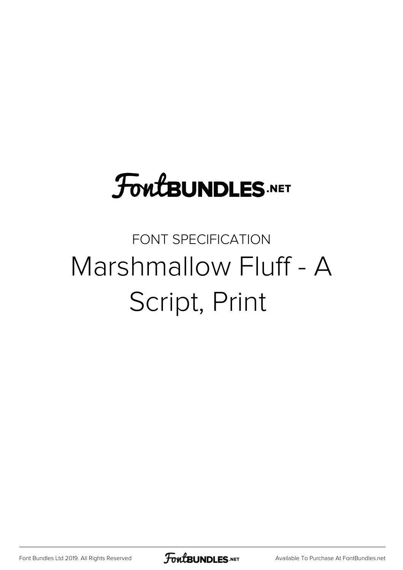# FoutBUNDLES.NET

### FONT SPECIFICATION Marshmallow Fluff - A Script, Print

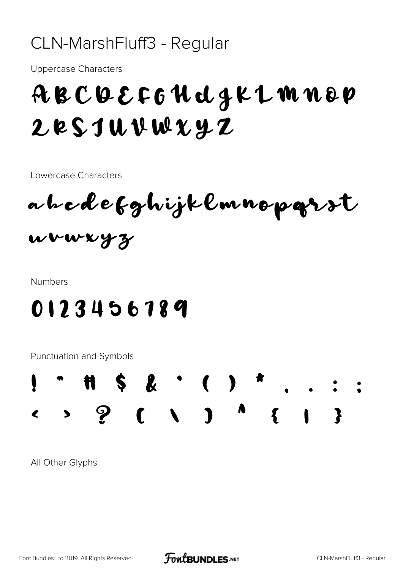#### CLN-MarshFluff3 - Regular

Uppercase Characters

### ABCDEFGHIJKLMNOP QRSTUVWXYZ

Lowercase Characters

abcdefghijklmnopqrst uvwxyz

Numbers

#### 0123456789

Punctuation and Symbols



All Other Glyphs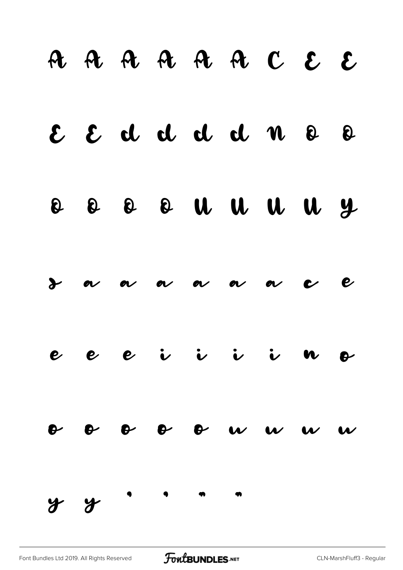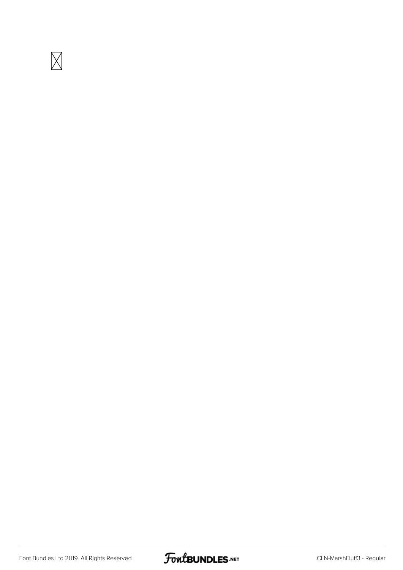

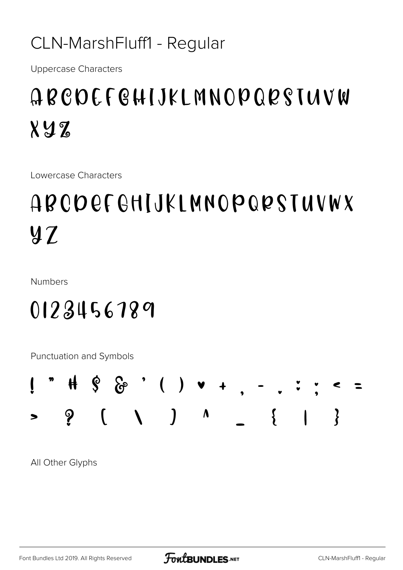#### CLN-MarshFluff1 - Regular

Uppercase Characters

### ABCDEFGHIJKLMNOPQRSTUVW XYZ

Lowercase Characters

## abcdefghijklmnopqrstuvwx  $yz$

Numbers

#### 0123456789

Punctuation and Symbols



All Other Glyphs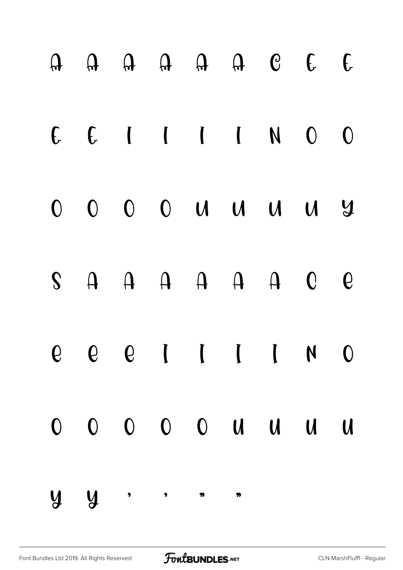|           |  | $\begin{array}{ccccccccccccccccc}\nA & A & A & A & A & B & C & E & E\n\end{array}$ |             |                        |
|-----------|--|------------------------------------------------------------------------------------|-------------|------------------------|
|           |  | $E E I I I N 0 0$                                                                  |             |                        |
|           |  | 0 0 0 0 0 0 0 0 0 0 9                                                              |             |                        |
|           |  | $S$ $A$ $A$ $A$ $A$ $A$                                                            | $\mathbf C$ | $\boldsymbol{\varrho}$ |
|           |  | <b>e e e i i i i n o</b>                                                           |             |                        |
|           |  | $0 0 0 0 0 0 0 0 0 0 0$                                                            |             |                        |
| y y ' ' " |  | Z                                                                                  |             |                        |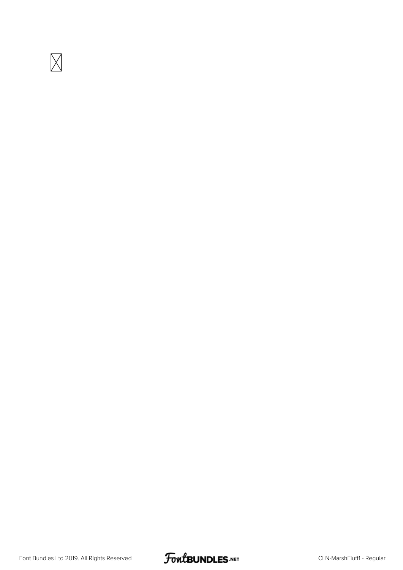

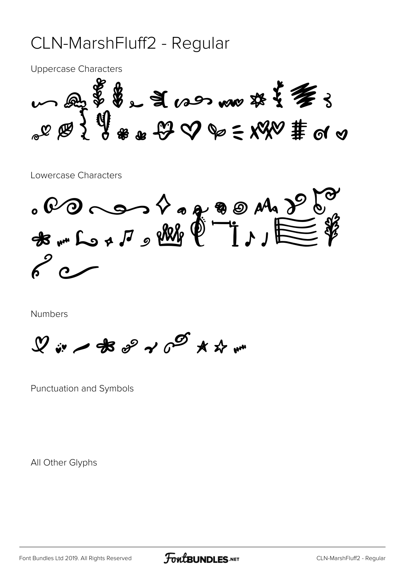#### CLN-MarshFluff2 - Regular

Uppercase Characters

ABCDEFGHIJKL  $m_{\infty} \otimes \mathbb{R}$   $\leq m_{\infty} \otimes \mathbb{R}$   $\leq m_{\infty} \otimes \mathbb{R}$ 

Lowercase Characters

 $a \otimes a$ <br> $a \otimes b$  $\mathscr{F} = \mathscr{F} \cup \mathscr{F}$  $\epsilon$ 

Numbers

 $Q$  is  $\rightarrow$   $\gamma$   $\beta$   $\rightarrow$   $\beta$   $\rightarrow$   $\gamma$   $\gamma$  w<sup>m</sup>

Punctuation and Symbols

All Other Glyphs